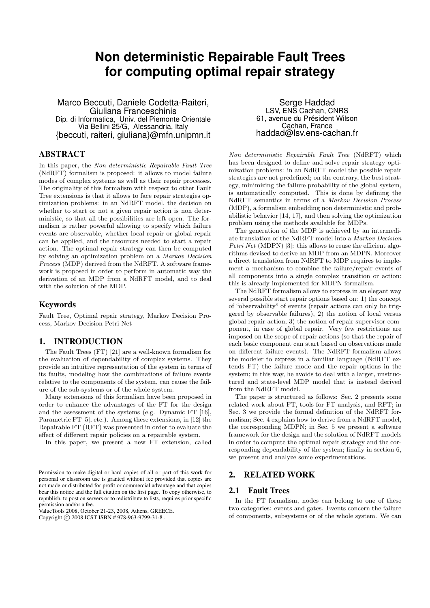# **Non deterministic Repairable Fault Trees for computing optimal repair strategy**

Marco Beccuti, Daniele Codetta-Raiteri, Giuliana Franceschinis Dip. di Informatica, Univ. del Piemonte Orientale Via Bellini 25/G, Alessandria, Italy {beccuti, raiteri, giuliana}@mfn.unipmn.it

# ABSTRACT

In this paper, the Non deterministic Repairable Fault Tree (NdRFT) formalism is proposed: it allows to model failure modes of complex systems as well as their repair processes. The originality of this formalism with respect to other Fault Tree extensions is that it allows to face repair strategies optimization problems: in an NdRFT model, the decision on whether to start or not a given repair action is non deterministic, so that all the possibilities are left open. The formalism is rather powerful allowing to specify which failure events are observable, whether local repair or global repair can be applied, and the resources needed to start a repair action. The optimal repair strategy can then be computed by solving an optimization problem on a Markov Decision Process (MDP) derived from the NdRFT. A software framework is proposed in order to perform in automatic way the derivation of an MDP from a NdRFT model, and to deal with the solution of the MDP.

# Keywords

Fault Tree, Optimal repair strategy, Markov Decision Process, Markov Decision Petri Net

# 1. INTRODUCTION

The Fault Trees (FT) [21] are a well-known formalism for the evaluation of dependability of complex systems. They provide an intuitive representation of the system in terms of its faults, modeling how the combinations of failure events relative to the components of the system, can cause the failure of the sub-systems or of the whole system.

Many extensions of this formalism have been proposed in order to enhance the advantages of the FT for the design and the assessment of the systems (e.g. Dynamic FT [16], Parametric FT [5], etc.). Among these extensions, in [12] the Repairable FT (RFT) was presented in order to evaluate the effect of different repair policies on a repairable system.

In this paper, we present a new FT extension, called

ValueTools 2008, October 21-23, 2008, Athens, GREECE. Copyright © 2008 ICST ISBN # 978-963-9799-31-8.

Serge Haddad LSV, ENS Cachan, CNRS 61, avenue du Président Wilson Cachan, France haddad@lsv.ens-cachan.fr

Non deterministic Repairable Fault Tree (NdRFT) which has been designed to define and solve repair strategy optimization problems: in an NdRFT model the possible repair strategies are not predefined; on the contrary, the best strategy, minimizing the failure probability of the global system, is automatically computed. This is done by defining the NdRFT semantics in terms of a Markov Decision Process (MDP), a formalism embedding non deterministic and probabilistic behavior [14, 17], and then solving the optimization problem using the methods available for MDPs.

The generation of the MDP is achieved by an intermediate translation of the NdRFT model into a Markov Decision Petri Net (MDPN) [3]: this allows to reuse the efficient algorithms devised to derive an MDP from an MDPN. Moreover a direct translation from NdRFT to MDP requires to implement a mechanism to combine the failure/repair events of all components into a single complex transition or action: this is already implemented for MDPN formalism.

The NdRFT formalism allows to express in an elegant way several possible start repair options based on: 1) the concept of "observability" of events (repair actions can only be triggered by observable failures), 2) the notion of local versus global repair action, 3) the notion of repair supervisor component, in case of global repair. Very few restrictions are imposed on the scope of repair actions (so that the repair of each basic component can start based on observations made on different failure events). The NdRFT formalism allows the modeler to express in a familiar language (NdRFT extends FT) the failure mode and the repair options in the system; in this way, he avoids to deal with a larger, unstructured and state-level MDP model that is instead derived from the NdRFT model.

The paper is structured as follows: Sec. 2 presents some related work about FT, tools for FT analysis, and RFT; in Sec. 3 we provide the formal definition of the NdRFT formalism; Sec. 4 explains how to derive from a NdRFT model, the corresponding MDPN; in Sec. 5 we present a software framework for the design and the solution of NdRFT models in order to compute the optimal repair strategy and the corresponding dependability of the system; finally in section 6, we present and analyze some experimentations.

# 2. RELATED WORK

## 2.1 Fault Trees

In the FT formalism, nodes can belong to one of these two categories: events and gates. Events concern the failure of components, subsystems or of the whole system. We can

Permission to make digital or hard copies of all or part of this work for personal or classroom use is granted without fee provided that copies are not made or distributed for profit or commercial advantage and that copies bear this notice and the full citation on the first page. To copy otherwise, to republish, to post on servers or to redistribute to lists, requires prior specific permission and/or a fee.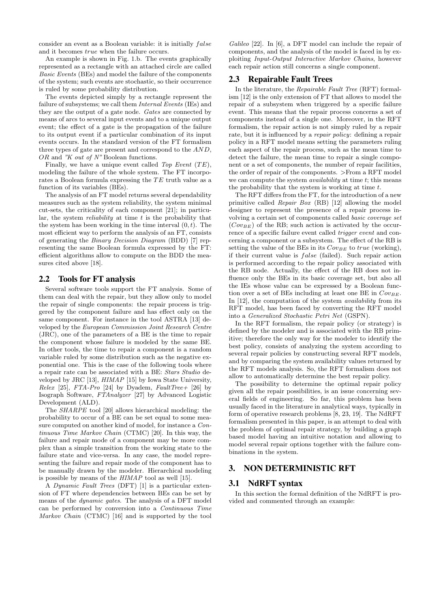consider an event as a Boolean variable: it is initially  $false$ and it becomes true when the failure occurs.

An example is shown in Fig. 1.b. The events graphically represented as a rectangle with an attached circle are called Basic Events (BEs) and model the failure of the components of the system; such events are stochastic, so their occurrence is ruled by some probability distribution.

The events depicted simply by a rectangle represent the failure of subsystems; we call them *Internal Events* (IEs) and they are the output of a gate node. Gates are connected by means of arcs to several input events and to a unique output event; the effect of a gate is the propagation of the failure to its output event if a particular combination of its input events occurs. In the standard version of the FT formalism three types of gate are present and correspond to the AND, OR and "K out of N" Boolean functions.

Finally, we have a unique event called Top Event  $(TE)$ , modeling the failure of the whole system. The FT incorporates a Boolean formula expressing the  $TE$  truth value as a function of its variables (BEs).

The analysis of an FT model returns several dependability measures such as the system reliability, the system minimal cut-sets, the criticality of each component [21]; in particular, the system *reliability* at time  $t$  is the probability that the system has been working in the time interval  $(0, t)$ . The most efficient way to perform the analysis of an FT, consists of generating the Binary Decision Diagram (BDD) [7] representing the same Boolean formula expressed by the FT: efficient algorithms allow to compute on the BDD the measures cited above [18].

## 2.2 Tools for FT analysis

Several software tools support the FT analysis. Some of them can deal with the repair, but they allow only to model the repair of single components: the repair process is triggered by the component failure and has effect only on the same component. For instance in the tool ASTRA [13] developed by the European Commission Joint Research Centre (JRC), one of the parameters of a BE is the time to repair the component whose failure is modeled by the same BE. In other tools, the time to repair a component is a random variable ruled by some distribution such as the negative exponential one. This is the case of the following tools where a repair rate can be associated with a BE: Stars Studio developed by JRC [13], HIMAP [15] by Iowa State University, Relex [25], FTA-Pro [24] by Dyadem, FaultTree+ [26] by Isograph Software, FTAnalyzer [27] by Advanced Logistic Development (ALD).

The SHARPE tool [20] allows hierarchical modeling: the probability to occur of a BE can be set equal to some measure computed on another kind of model, for instance a Continuous Time Markov Chain (CTMC) [20]. In this way, the failure and repair mode of a component may be more complex than a simple transition from the working state to the failure state and vice-versa. In any case, the model representing the failure and repair mode of the component has to be manually drawn by the modeler. Hierarchical modeling is possible by means of the HIMAP tool as well [15].

A Dynamic Fault Trees (DFT) [1] is a particular extension of FT where dependencies between BEs can be set by means of the dynamic gates. The analysis of a DFT model can be performed by conversion into a Continuous Time Markov Chain (CTMC) [16] and is supported by the tool

Galileo [22]. In [6], a DFT model can include the repair of components, and the analysis of the model is faced in by exploiting Input-Output Interactive Markov Chains, however each repair action still concerns a single component.

## 2.3 Repairable Fault Trees

In the literature, the Repairable Fault Tree (RFT) formalism [12] is the only extension of FT that allows to model the repair of a subsystem when triggered by a specific failure event. This means that the repair process concerns a set of components instead of a single one. Moreover, in the RFT formalism, the repair action is not simply ruled by a repair rate, but it is influenced by a repair policy: defining a repair policy in a RFT model means setting the parameters ruling each aspect of the repair process, such as the mean time to detect the failure, the mean time to repair a single component or a set of components, the number of repair facilities, the order of repair of the components. >From a RFT model we can compute the system *availability* at time  $t$ ; this means the probability that the system is working at time  $t$ .

The RFT differs from the FT, for the introduction of a new primitive called Repair Box (RB) [12] allowing the model designer to represent the presence of a repair process involving a certain set of components called basic coverage set  $(Cov_{BE})$  of the RB; such action is activated by the occurrence of a specific failure event called trigger event and concerning a component or a subsystem. The effect of the RB is setting the value of the BEs in its  $Cov_{BE}$  to true (working), if their current value is  $false$  (failed). Such repair action is performed according to the repair policy associated with the RB node. Actually, the effect of the RB does not influence only the BEs in its basic coverage set, but also all the IEs whose value can be expressed by a Boolean function over a set of BEs including at least one BE in  $Cov_{BE}$ . In [12], the computation of the system *availability* from its RFT model, has been faced by converting the RFT model into a Generalized Stochastic Petri Net (GSPN).

In the RFT formalism, the repair policy (or strategy) is defined by the modeler and is associated with the RB primitive; therefore the only way for the modeler to identify the best policy, consists of analyzing the system according to several repair policies by constructing several RFT models, and by comparing the system availability values returned by the RFT models analysis. So, the RFT formalism does not allow to automatically determine the best repair policy.

The possibility to determine the optimal repair policy given all the repair possibilities, is an issue concerning several fields of engineering. So far, this problem has been usually faced in the literature in analytical ways, typically in form of operative research problems [8, 23, 19]. The NdRFT formalism presented in this paper, is an attempt to deal with the problem of optimal repair strategy, by building a graph based model having an intuitive notation and allowing to model several repair options together with the failure combinations in the system.

## 3. NON DETERMINISTIC RFT

## 3.1 NdRFT syntax

In this section the formal definition of the NdRFT is provided and commented through an example: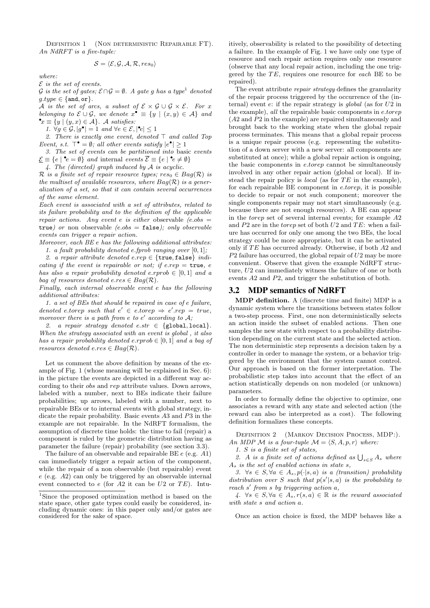DEFINITION 1 (NON DETERMINISTIC REPAIRABLE FT). An NdRFT is a five-tuple:

$$
\mathcal{S} = \langle \mathcal{E}, \mathcal{G}, \mathcal{A}, \mathcal{R}, res_0 \rangle
$$

where:

 $E$  is the set of events.

 $\mathcal G$  is the set of gates;  $\mathcal E\cap \mathcal G=\emptyset$ . A gate g has a type<sup>1</sup> denoted  $g.type \in \{\texttt{and}, \texttt{or}\}.$ 

A is the set of arcs, a subset of  $\mathcal{E} \times \mathcal{G} \cup \mathcal{G} \times \mathcal{E}$ . For x belonging to  $\mathcal{E} \cup \mathcal{G}$ , we denote  $x^{\bullet} \equiv \{y \mid (x, y) \in \mathcal{A}\}\$ and  $\mathbf{e}_x \equiv \{y \mid (y, x) \in \mathcal{A}\}\text{. A satisfies: }$ 

1.  $\forall g \in \mathcal{G}, |g^{\bullet}| = 1$  and  $\forall e \in \mathcal{E}, |\mathbf{e}| \leq 1$ 

2. There is exactly one event, denoted  $\top$  and called Top Event, s.t.  $\top$  =  $\emptyset$ ; all other events satisfy  $|e^{\bullet}| \geq 1$ 

3. The set of events can be partitioned into basic events  $\underline{\mathcal{E}} \equiv \{e \mid \mathbf{e} \in \emptyset\}$  and internal events  $\overline{\mathcal{E}} \equiv \{e \mid \mathbf{e} \neq \emptyset\}$ 

4. The (directed) graph induced by A is acyclic.

R is a finite set of repair resource types;  $res_0 \in Bag(R)$  is the multiset of available resources, where  $Bag(\mathcal{R})$  is a generalization of a set, so that it can contain several occurrences of the same element.

Each event is associated with a set of attributes, related to its failure probability and to the definition of the applicable repair actions. Any event e is either observable (e.obs  $=$ true) or non observable (e.obs = false); only observable events can trigger a repair action.

Moreover, each BE e has the following additional attributes:

1. a fault probability denoted e.fprob ranging over  $[0, 1]$ ; 2. a repair attribute denoted e.rep  $\in$  {true, false} indicating if the event is repairable or not; if e.rep  $=$  true, e has also a repair probability denoted e.rprob  $\in [0,1]$  and a bag of resources denoted  $e,res \in Bag(R)$ .

Finally, each internal observable event e has the following additional attributes:

1. a set of BEs that should be repaired in case of e failure, denoted e.torep such that  $e' \in e \text{.} to rep \Rightarrow e' \text{.} rep = true$ , moreover there is a path from e to  $e'$  according to  $A$ ;

2. a repair strategy denoted e.str  $\in$  {global, local}. When the strategy associated with an event is global , it also has a repair probability denoted e.rprob  $\in [0,1]$  and a bag of resources denoted  $e,res \in Bag(R)$ .

Let us comment the above definition by means of the example of Fig. 1 (whose meaning will be explained in Sec. 6): in the picture the events are depicted in a different way according to their obs and rep attribute values. Down arrows, labeled with a number, next to BEs indicate their failure probabilities; up arrows, labeled with a number, next to repairable BEs or to internal events with global strategy, indicate the repair probability. Basic events A3 and P3 in the example are not repairable. In the NdRFT formalism, the assumption of discrete time holds: the time to fail (repair) a component is ruled by the geometric distribution having as parameter the failure (repair) probability (see section 3.3).

The failure of an observable and repairable BE  $e$  (e.g.  $A1$ ) can immediately trigger a repair action of the component, while the repair of a non observable (but repairable) event e (e.g. A2) can only be triggered by an observable internal event connected to  $e$  (for A2 it can be U2 or TE). Intuitively, observability is related to the possibility of detecting a failure. In the example of Fig. 1 we have only one type of resource and each repair action requires only one resource (observe that any local repair action, including the one triggered by the  $TE$ , requires one resource for each  $BE$  to be repaired).

The event attribute *repair strategy* defines the granularity of the repair process triggered by the occurrence of the (internal) event  $e$ : if the repair strategy is global (as for  $U2$  in the example), all the repairable basic components in e.torep (A2 and P2 in the example) are repaired simultaneously and brought back to the working state when the global repair process terminates. This means that a global repair process is a unique repair process (e.g. representing the substitution of a down server with a new server: all components are substituted at once); while a global repair action is ongoing, the basic components in e.torep cannot be simultaneously involved in any other repair action (global or local). If instead the repair policy is *local* (as for  $TE$  in the example), for each repairable BE component in e.torep, it is possible to decide to repair or not such component; moreover the single components repair may not start simultaneously (e.g. because there are not enough resources). A BE can appear in the torep set of several internal events; for example A2 and  $P2$  are in the *torep* set of both  $U2$  and  $TE$ : when a failure has occurred for only one among the two BEs, the local strategy could be more appropriate, but it can be activated only if  $TE$  has occurred already. Otherwise, if both  $A2$  and  $P2$  failure has occurred, the global repair of  $U2$  may be more convenient. Observe that given the example NdRFT structure, U2 can immediately witness the failure of one or both events A2 and P2, and trigger the substitution of both.

#### 3.2 MDP semantics of NdRFT

MDP definition. A (discrete time and finite) MDP is a dynamic system where the transitions between states follow a two-step process. First, one non deterministically selects an action inside the subset of enabled actions. Then one samples the new state with respect to a probability distribution depending on the current state and the selected action. The non deterministic step represents a decision taken by a controller in order to manage the system, or a behavior triggered by the environment that the system cannot control. Our approach is based on the former interpretation. The probabilistic step takes into account that the effect of an action statistically depends on non modeled (or unknown) parameters.

In order to formally define the objective to optimize, one associates a reward with any state and selected action (the reward can also be interpreted as a cost). The following definition formalizes these concepts.

Definition 2 (Markov Decision Process, MDP:). An MDP M is a four-tuple  $\mathcal{M} = \langle S, A, p, r \rangle$  where:

1. S is a finite set of states,

2. A is a finite set of actions defined as  $\bigcup_{s \in S} A_s$  where  $A_s$  is the set of enabled actions in state s,

3.  $\forall s \in S, \forall a \in A_s, p(\cdot|s, a)$  is a (transition) probability distribution over S such that  $p(s'|s, a)$  is the probability to reach s' from s by triggering action a,

4.  $\forall s \in S, \forall a \in A_s$ ,  $r(s,a) \in \mathbb{R}$  is the reward associated with state s and action a.

Once an action choice is fixed, the MDP behaves like a

<sup>1</sup>Since the proposed optimization method is based on the state space, other gate types could easily be considered, including dynamic ones: in this paper only and/or gates are considered for the sake of space.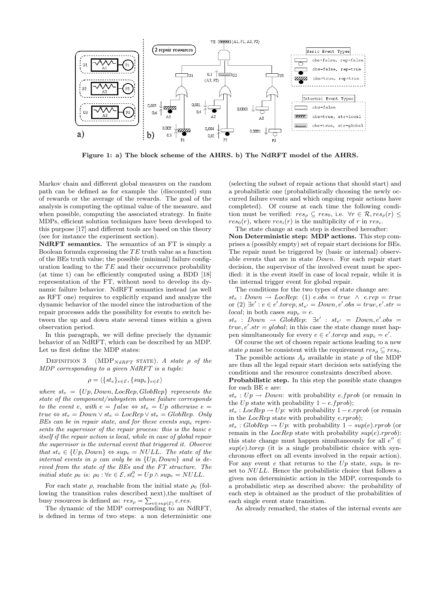

Figure 1: a) The block scheme of the AHRS. b) The NdRFT model of the AHRS.

Markov chain and different global measures on the random path can be defined as for example the (discounted) sum of rewards or the average of the rewards. The goal of the analysis is computing the optimal value of the measure, and when possible, computing the associated strategy. In finite MDPs, efficient solution techniques have been developed to this purpose [17] and different tools are based on this theory (see for instance the experiment section).

NdRFT semantics. The semantics of an FT is simply a Boolean formula expressing the  $TE$  truth value as a function of the BEs truth value; the possible (minimal) failure configuration leading to the  $TE$  and their occurrence probability (at time t) can be efficiently computed using a BDD [18] representation of the FT, without need to develop its dynamic failure behavior. NdRFT semantics instead (as well as RFT one) requires to explicitly expand and analyze the dynamic behavior of the model since the introduction of the repair processes adds the possibility for events to switch between the up and down state several times within a given observation period.

In this paragraph, we will define precisely the dynamic behavior of an NdRFT, which can be described by an MDP. Let us first define the MDP states:

DEFINITION 3 (MDP<sub>NdRFT</sub> STATE). A state  $\rho$  of the MDP corresponding to a given NdRFT is a tuple:

$$
\rho = \langle \{ st_e \}_{e \in \mathcal{E}}, \{ sup_e \}_{e \in \mathcal{E}} \rangle
$$

where  $s_t = \{Up, Down, LocRep, GlobalRep\}$  represents the state of the component/subsystem whose failure corresponds to the event e, with  $e = false \Leftrightarrow st_e = Up$  otherwise  $e =$  $true \Leftrightarrow st_e = Down \vee st_e = LocRep \vee st_e = GlobalRep$ . Only  $BEs$  can be in repair state, and for these events sup<sub>e</sub> represents the supervisor of the repair process: this is the basic e itself if the repair action is local, while in case of global repair the supervisor is the internal event that triggered it. Observe that  $st_e \in \{Up, Down\} \Leftrightarrow sup_e = NULL$ . The state of the internal events in  $\rho$  can only be in  $\{Up, Down\}$  and is derived from the state of the BEs and the FT structure. The initial state  $\rho_0$  is:  $\rho_0 : \forall e \in \mathcal{E}, st_e^0 = Up \wedge sup_e = NULL$ .

For each state  $\rho$ , reachable from the initial state  $\rho_0$  (following the transition rules described next), the multiset of busy resources is defined as:  $res_{\rho} = \sum_{e \in sup(\mathcal{E})} eres$ .

The dynamic of the MDP corresponding to an NdRFT, is defined in terms of two steps: a non deterministic one

(selecting the subset of repair actions that should start) and a probabilistic one (probabilistically choosing the newly occurred failure events and which ongoing repair actions have completed). Of course at each time the following condition must be verified:  $res_{\rho} \subseteq res_0$ , i.e.  $\forall r \in \mathcal{R}, res_{\rho}(r) \leq$  $res_0(r)$ , where  $res_i(r)$  is the multiplicity of r in res<sub>i</sub>.

The state change at each step is described hereafter: Non Deterministic step: MDP actions. This step comprises a (possibly empty) set of repair start decisions for BEs. The repair must be triggered by (basic or internal) observable events that are in state Down. For each repair start decision, the supervisor of the involved event must be specified: it is the event itself in case of local repair, while it is the internal trigger event for global repair.

The conditions for the two types of state change are:  $st_e: Down \rightarrow LocRep: (1) e. obs = true \land e. rep = true$ or (2)  $\exists e' : e \in e'.torep, st_{e'} = Down, e'.obs = true, e'.str =$ local; in both cases  $sup_e = e$ .

 $st_e$  :  $Down \rightarrow GlobalRep: \exists e' : st_{e'} = Down, e'.obs =$  $true, e'.str = global;$  in this case the state change must happen simultaneously for every  $e \in e'.to rep$  and  $sup_e = e'.$ 

Of course the set of chosen repair actions leading to a new state  $\rho$  must be consistent with the requirement  $res_{\rho} \subseteq res_0$ .

The possible actions  $A_{\rho}$  available in state  $\rho$  of the MDP are thus all the legal repair start decision sets satisfying the conditions and the resource constraints described above.

Probabilistic step. In this step the possible state changes for each BE e are:

 $st_e: Up \rightarrow Down:$  with probability e.fprob (or remain in the  $Up$  state with probability  $1 - e.\text{f} prob$ ;

 $st_e: LocRep \rightarrow Up$ : with probability  $1 - e$ .rprob (or remain in the  $LocRep$  state with probability  $e.rprob$ ;

 $st_e: GlobalRep \rightarrow Up:$  with probability  $1-sup(e).$ rprob (or remain in the LocRep state with probability  $sup(e).rprob$ : this state change must happen simultaneously for all  $e'' \in$  $sup(e).to rep$  (it is a single probabilistic choice with synchronous effect on all events involved in the repair action). For any event e that returns to the  $Up$  state,  $sup_e$  is reset to NULL. Hence the probabilistic choice that follows a given non deterministic action in the MDP, corresponds to a probabilistic step as described above: the probability of each step is obtained as the product of the probabilities of each single event state transition.

As already remarked, the states of the internal events are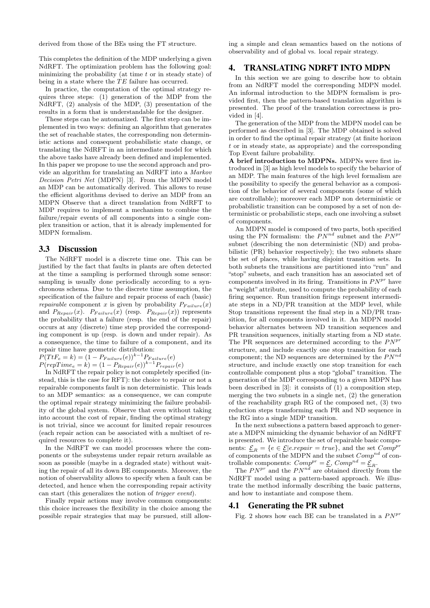derived from those of the BEs using the FT structure.

This completes the definition of the MDP underlying a given NdRFT. The optimization problem has the following goal: minimizing the probability (at time  $t$  or in steady state) of being in a state where the  $TE$  failure has occurred.

In practice, the computation of the optimal strategy requires three steps: (1) generation of the MDP from the NdRFT, (2) analysis of the MDP, (3) presentation of the results in a form that is understandable for the designer.

These steps can be automatized. The first step can be implemented in two ways: defining an algorithm that generates the set of reachable states, the corresponding non deterministic actions and consequent probabilistic state change, or translating the NdRFT in an intermediate model for which the above tasks have already been defined and implemented. In this paper we propose to use the second approach and provide an algorithm for translating an NdRFT into a Markov Decision Petri Net (MDPN) [3]. From the MDPN model an MDP can be automatically derived. This allows to reuse the efficient algorithms devised to derive an MDP from an MDPN Observe that a direct translation from NdRFT to MDP requires to implement a mechanism to combine the failure/repair events of all components into a single complex transition or action, that it is already implemented for MDPN formalism.

## 3.3 Discussion

The NdRFT model is a discrete time one. This can be justified by the fact that faults in plants are often detected at the time a sampling is performed through some sensor: sampling is usually done periodically according to a synchronous schema. Due to the discrete time assumption, the specification of the failure and repair process of each (basic) repairable component x is given by probability  $P_{F\text{a}ilure}(x)$ and  $P_{Repair}(x)$ .  $P_{Failure}(x)$  (resp.  $P_{Repair}(x)$ ) represents the probability that a failure (resp. the end of the repair) occurs at any (discrete) time step provided the corresponding component is up (resp. is down and under repair). As a consequence, the time to failure of a component, and its repair time have geometric distribution:

 $P(T t F_e = k) = (1 - P_{F \, a \, i \, \text{l} \, \text{ure}}(e))^{k-1} P_{F \, a \, i \, \text{l} \, \text{ure}}(e)$ 

 $P(repTime_e = k) = (1 - P_{Repair}(e))^{k-1} P_{repair}(e)$ 

In NdRFT the repair policy is not completely specified (instead, this is the case for RFT): the choice to repair or not a repairable components fault is non deterministic. This leads to an MDP semantics: as a consequence, we can compute the optimal repair strategy minimizing the failure probability of the global system. Observe that even without taking into account the cost of repair, finding the optimal strategy is not trivial, since we account for limited repair resources (each repair action can be associated with a multiset of required resources to complete it).

In the NdRFT we can model processes where the components or the subsystems under repair return available as soon as possible (maybe in a degraded state) without waiting the repair of all its down BE components. Moreover, the notion of observability allows to specify when a fault can be detected, and hence when the corresponding repair activity can start (this generalizes the notion of trigger event).

Finally repair actions may involve common components: this choice increases the flexibility in the choice among the possible repair strategies that may be pursued, still allowing a simple and clean semantics based on the notions of observability and of global vs. local repair strategy.

# 4. TRANSLATING NDRFT INTO MDPN

In this section we are going to describe how to obtain from an NdRFT model the corresponding MDPN model. An informal introduction to the MDPN formalism is provided first, then the pattern-based translation algorithm is presented. The proof of the translation correctness is provided in [4].

The generation of the MDP from the MDPN model can be performed as described in [3]. The MDP obtained is solved in order to find the optimal repair strategy (at finite horizon t or in steady state, as appropriate) and the corresponding Top Event failure probability.

A brief introduction to MDPNs. MDPNs were first introduced in [3] as high level models to specify the behavior of an MDP. The main features of the high level formalism are the possibility to specify the general behavior as a composition of the behavior of several components (some of which are controllable); moreover each MDP non deterministic or probabilistic transition can be composed by a set of non deterministic or probabilistic steps, each one involving a subset of components.

An MDPN model is composed of two parts, both specified using the PN formalism: the  $PN^{nd}$  subnet and the  $PN^{pr}$ subnet (describing the non deterministic (ND) and probabilistic (PR) behavior respectively); the two subnets share the set of places, while having disjoint transition sets. In both subnets the transitions are partitioned into "run" and "stop" subsets, and each transition has an associated set of components involved in its firing. Transitions in  $PN^{pr}$  have a "weight" attribute, used to compute the probability of each firing sequence. Run transition firings represent intermediate steps in a ND/PR transition at the MDP level, while Stop transitions represent the final step in a ND/PR transition, for all components involved in it. An MDPN model behavior alternates between ND transition sequences and PR transition sequences, initially starting from a ND state. The PR sequences are determined according to the  $PN^{pr}$ structure, and include exactly one stop transition for each component; the ND sequences are determined by the  $PN^{nd}$ structure, and include exactly one stop transition for each controllable component plus a stop "global" transition. The generation of the MDP corresponding to a given MDPN has been described in [3]: it consists of (1) a composition step, merging the two subnets in a single net, (2) the generation of the reachability graph RG of the composed net, (3) two reduction steps transforming each PR and ND sequence in the RG into a single MDP transition.

In the next subsections a pattern based approach to generate a MDPN mimicking the dynamic behavior of an NdRFT is presented. We introduce the set of repairable basic components:  $\underline{\mathcal{E}}_R = \{e \in \underline{\mathcal{E}} | e.\text{repair} = \text{true}\},\$ and the set  $Comp^{pr}$ of components of the MDPN and the subset  $Comp^{nd}$  of controllable components:  $Comp^{pr} = \underline{\mathcal{E}}$ ,  $Comp^{nd} = \underline{\mathcal{E}}_R$ .

The  $PN^{pr}$  and the  $PN^{nd}$  are obtained directly from the NdRFT model using a pattern-based approach. We illustrate the method informally describing the basic patterns, and how to instantiate and compose them.

#### 4.1 Generating the PR subnet

Fig. 2 shows how each BE can be translated in a  $PN^{pr}$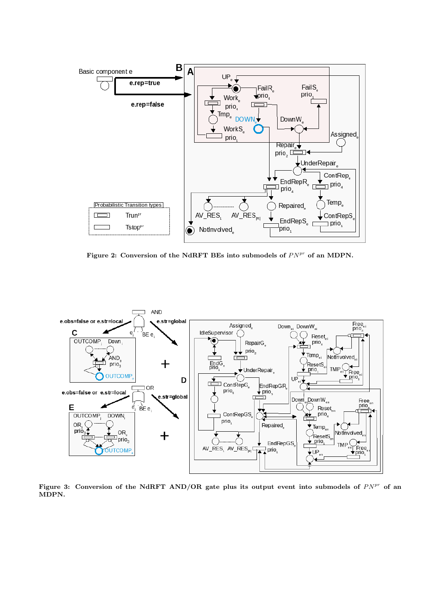

Figure 2: Conversion of the NdRFT BEs into submodels of  $PN^{pr}$  of an MDPN.



Figure 3: Conversion of the NdRFT AND/OR gate plus its output event into submodels of  $PN^{pr}$  of an MDPN.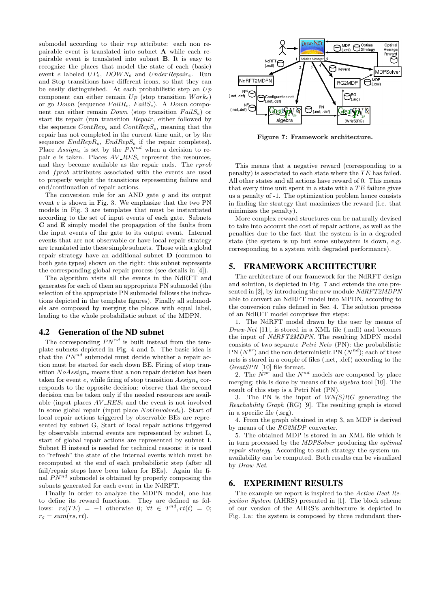submodel according to their rep attribute: each non repairable event is translated into subnet A while each repairable event is translated into subnet B. It is easy to recognize the places that model the state of each (basic) event e labeled  $UP_e$ ,  $DOWN_e$  and  $UnderRepair_e$ . Run and Stop transitions have different icons, so that they can be easily distinguished. At each probabilistic step an  $Up$ component can either remain  $Up$  (stop transition  $Work_e$ ) or go *Down* (sequence  $Fall_{e}$ ,  $FailS_{e}$ ). A *Down* component can either remain  $Down$  (stop transition  $FailS_e$ ) or start its repair (run transition Repair, either followed by the sequence  $ContRep_e$  and  $ContRepS_e$ , meaning that the repair has not completed in the current time unit, or by the sequence  $EndRepR_e$ ,  $EndRepS_e$  if the repair completes). Place  $Assign_e$  is set by the  $PN^{nd}$  when a decision to repair e is taken. Places  $AV\_RES_i$  represent the resources, and they become available as the repair ends. The rprob and *forob* attributes associated with the events are used to properly weight the transitions representing failure and end/continuation of repair actions.

The conversion rule for an AND gate  $q$  and its output event e is shown in Fig. 3. We emphasize that the two PN models in Fig. 3 are templates that must be instantiated according to the set of input events of each gate. Subnets C and E simply model the propagation of the faults from the input events of the gate to its output event. Internal events that are not observable or have local repair strategy are translated into these simple subnets. Those with a global repair strategy have an additional subnet D (common to both gate types) shown on the right: this subnet represents the corresponding global repair process (see details in [4]).

The algorithm visits all the events in the NdRFT and generates for each of them an appropriate PN submodel (the selection of the appropriate PN submodel follows the indications depicted in the template figures). Finally all submodels are composed by merging the places with equal label, leading to the whole probabilistic subnet of the MDPN.

#### 4.2 Generation of the ND subnet

The corresponding  $PN^{nd}$  is built instead from the template subnets depicted in Fig. 4 and 5. The basic idea is that the  $PN^{nd}$  submodel must decide whether a repair action must be started for each down BE. Firing of stop transition  $NoAssign_e$  means that a non repair decision has been taken for event e, while firing of stop transition  $Assign_e$  corresponds to the opposite decision: observe that the second decision can be taken only if the needed resources are available (input places  $AV\_RES_i$  and the event is not involved in some global repair (input place  $NotInvolved<sub>e</sub>$ ). Start of local repair actions triggered by observable BEs are represented by subnet G, Start of local repair actions triggered by observable internal events are represented by subnet L, start of global repair actions are represented by subnet I. Subnet H instead is needed for technical reasons: it is used to "refresh" the state of the internal events which must be recomputed at the end of each probabilistic step (after all fail/repair steps have been taken for BEs). Again the final  $PN^{nd}$  submodel is obtained by properly composing the subnets generated for each event in the NdRFT.

Finally in order to analyze the MDPN model, one has to define its reward functions. They are defined as follows:  $rs(TE) = -1$  otherwise 0;  $\forall t \in T^{nd}, rt(t) = 0;$  $r_g = sum(rs, rt).$ 



Figure 7: Framework architecture.

This means that a negative reward (corresponding to a penalty) is associated to each state where the  $TE$  has failed. All other states and all actions have reward of 0. This means that every time unit spent in a state with a  $TE$  failure gives us a penalty of -1. The optimization problem hence consists in finding the strategy that maximizes the reward (i.e. that minimizes the penalty).

More complex reward structures can be naturally devised to take into account the cost of repair actions, as well as the penalties due to the fact that the system is in a degraded state (the system is up but some subsystem is down, e.g. corresponding to a system with degraded performance).

## 5. FRAMEWORK ARCHITECTURE

The architecture of our framework for the NdRFT design and solution, is depicted in Fig. 7 and extends the one presented in [2], by introducing the new module NdRFT2MDPN able to convert an NdRFT model into MPDN, according to the conversion rules defined in Sec. 4. The solution process of an NdRFT model comprises five steps:

1. The NdRFT model drawn by the user by means of Draw-Net [11], is stored in a XML file (.mdl) and becomes the input of NdRFT2MDPN. The resulting MDPN model consists of two separate Petri Nets (PN): the probabilistic PN  $(N^{pr})$  and the non deterministic PN  $(N^{nd})$ ; each of these nets is stored in a couple of files (.net, .def) according to the GreatSPN [10] file format.

2. The  $N^{pr}$  and the  $N^{nd}$  models are composed by place merging; this is done by means of the algebra tool [10]. The result of this step is a Petri Net (PN).

3. The PN is the input of  $WN(S)RG$  generating the Reachability Graph (RG) [9]. The resulting graph is stored in a specific file (.srg).

4. From the graph obtained in step 3, an MDP is derived by means of the RG2MDP converter.

5. The obtained MDP is stored in an XML file which is in turn processed by the MDPSolver producing the optimal repair strategy. According to such strategy the system unavailability can be computed. Both results can be visualized by Draw-Net.

#### 6. EXPERIMENT RESULTS

The example we report is inspired to the Active Heat Rejection System (AHRS) presented in [1]. The block scheme of our version of the AHRS's architecture is depicted in Fig. 1.a: the system is composed by three redundant ther-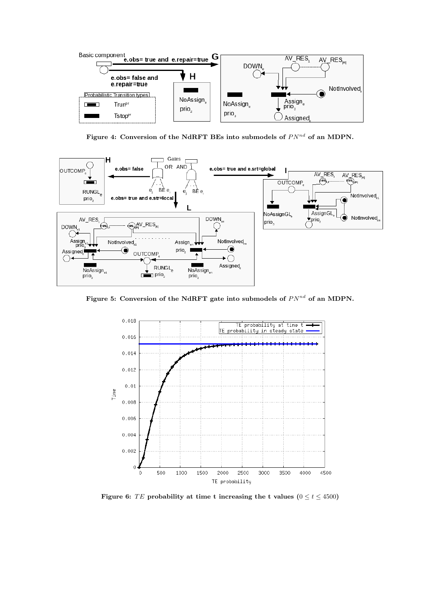

Figure 4: Conversion of the NdRFT BEs into submodels of  $PN^{nd}$  of an MDPN.



Figure 5: Conversion of the NdRFT gate into submodels of  $PN^{nd}$  of an MDPN.



Figure 6: TE probability at time t increasing the t values  $(0 \lt t \lt 4500)$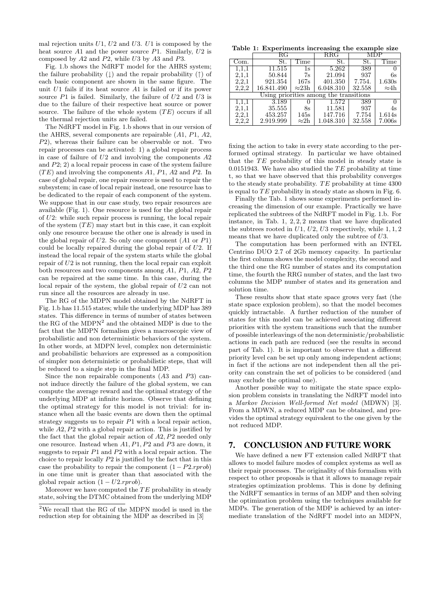mal rejection units  $U1$ ,  $U2$  and  $U3$ .  $U1$  is composed by the heat source  $A1$  and the power source  $P1$ . Similarly,  $U2$  is composed by A2 and P2, while U3 by A3 and P3.

Fig. 1.b shows the NdRFT model for the AHRS system; the failure probability  $( )$  and the repair probability  $( )$  of each basic component are shown in the same figure. The unit U1 fails if its heat source A1 is failed or if its power source  $P1$  is failed. Similarly, the failure of  $U2$  and  $U3$  is due to the failure of their respective heat source or power source. The failure of the whole system  $(TE)$  occurs if all the thermal rejection units are failed.

The NdRFT model in Fig. 1.b shows that in our version of the AHRS, several components are repairable (A1, P1, A2, P2), whereas their failure can be observable or not. Two repair processes can be activated: 1) a global repair process in case of failure of  $U2$  and involving the components  $A2$ and P2; 2) a local repair process in case of the system failure  $(TE)$  and involving the components A1, P1, A2 and P2. In case of global repair, one repair resource is used to repair the subsystem; in case of local repair instead, one resource has to be dedicated to the repair of each component of the system. We suppose that in our case study, two repair resources are available (Fig. 1). One resource is used for the global repair of U2: while such repair process is running, the local repair of the system  $(TE)$  may start but in this case, it can exploit only one resource because the other one is already is used in the global repair of  $U2$ . So only one component  $(A1 \text{ or } P1)$ could be locally repaired during the global repair of U2. If instead the local repair of the system starts while the global repair of  $U2$  is not running, then the local repair can exploit both resources and two components among A1, P1, A2, P2 can be repaired at the same time. In this case, during the local repair of the system, the global repair of U2 can not run since all the resources are already in use.

The RG of the MDPN model obtained by the NdRFT in Fig. 1.b has 11.515 states; while the underlying MDP has 389 states. This difference in terms of number of states between the RG of the  $MDPN<sup>2</sup>$  and the obtained MDP is due to the fact that the MDPN formalism gives a macroscopic view of probabilistic and non deterministic behaviors of the system. In other words, at MDPN level, complex non deterministic and probabilistic behaviors are expressed as a composition of simpler non deterministic or probabilistic steps, that will be reduced to a single step in the final MDP.

Since the non repairable components (A3 and P3) cannot induce directly the failure of the global system, we can compute the average reward and the optimal strategy of the underlying MDP at infinite horizon. Observe that defining the optimal strategy for this model is not trivial: for instance when all the basic events are down then the optimal strategy suggests us to repair  $P1$  with a local repair action, while  $A2$ ,  $P2$  with a global repair action. This is justified by the fact that the global repair action of A2, P2 needed only one resource. Instead when A1, P1, P2 and P3 are down, it suggests to repair P1 and P2 with a local repair action. The choice to repair locally P2 is justified by the fact that in this case the probability to repair the component  $(1 - P2$ .*rprob*) in one time unit is greater than that associated with the global repair action  $(1 - U2$ .rprob).

Moreover we have computed the  $TE$  probability in steady state, solving the DTMC obtained from the underlying MDP

Table 1: Experiments increasing the example size

|                                        | RG         |               | $_{\rm RRG}$ |        |              |
|----------------------------------------|------------|---------------|--------------|--------|--------------|
| Com.                                   | St.        | Time          | St.          | St.    | Time         |
| 1,1,1                                  | 11.515     | 1s            | 5.262        | 389    |              |
| 2,1,1                                  | 50.844     | 7s            | 21.094       | 937    | 6s           |
| 2,2,1                                  | 921.354    | 167s          | 401.350      | 7.754. | 1.630s       |
| 2,2,2                                  | 16.841.490 | $\approx 23h$ | 6.048.310    | 32.558 | $\approx 4h$ |
| Using priorities among the transitions |            |               |              |        |              |
| 1,1,1                                  | 3.189      |               | 1.572        | 389    |              |
| 2,1,1                                  | 35.555     | 8s            | 11.581       | 937    | 4s           |
| 2,2,1                                  | 453.257    | 145s          | 147.716      | 7.754  | 1.614s       |
| 2,2,2                                  | 2.919.999  | $\approx 2h$  | 1.048.310    | 32.558 | 7.006s       |

fixing the action to take in every state according to the performed optimal strategy. In particular we have obtained that the  $TE$  probability of this model in steady state is 0.0151943. We have also studied the  $TE$  probability at time t, so that we have observed that this probability converges to the steady state probability.  $TE$  probability at time 4300 is equal to  $TE$  probability in steady state as shown in Fig. 6.

Finally the Tab. 1 shows some experiments performed increasing the dimension of our example. Practically we have replicated the subtrees of the NdRFT model in Fig. 1.b. For instance, in Tab. 1, 2, 2, 2 means that we have duplicated the subtrees rooted in  $U1$ ,  $U2$ ,  $U3$  respectively, while 1, 1, 2 means that we have duplicated only the subtree of U3.

The computation has been performed with an INTEL Centrino DUO 2.7 of 2Gb memory capacity. In particular the first column shows the model complexity, the second and the third one the RG number of states and its computation time, the fourth the RRG number of states, and the last two columns the MDP number of states and its generation and solution time.

These results show that state space grows very fast (the state space explosion problem), so that the model becomes quickly intractable. A further reduction of the number of states for this model can be achieved associating different priorities with the system transitions such that the number of possible interleavings of the non deterministic/probabilistic actions in each path are reduced (see the results in second part of Tab. 1). It is important to observe that a different priority level can be set up only among independent actions; in fact if the actions are not independent then all the priority can constrain the set of policies to be considered (and may exclude the optimal one).

Another possible way to mitigate the state space explosion problem consists in translating the NdRFT model into a Markov Decision Well-formed Net model (MDWN) [3]. From a MDWN, a reduced MDP can be obtained, and provides the optimal strategy equivalent to the one given by the not reduced MDP.

## 7. CONCLUSION AND FUTURE WORK

We have defined a new FT extension called NdRFT that allows to model failure modes of complex systems as well as their repair processes. The originality of this formalism with respect to other proposals is that it allows to manage repair strategies optimization problems. This is done by defining the NdRFT semantics in terms of an MDP and then solving the optimization problem using the techniques available for MDPs. The generation of the MDP is achieved by an intermediate translation of the NdRFT model into an MDPN,

 $2$ We recall that the RG of the MDPN model is used in the reduction step for obtaining the MDP as described in [3]